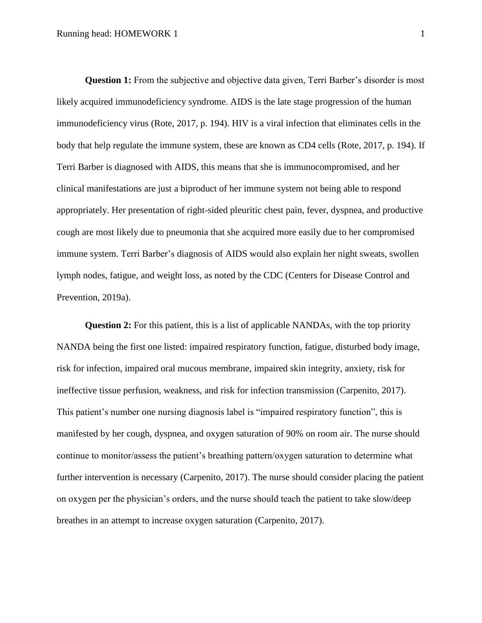**Question 1:** From the subjective and objective data given, Terri Barber's disorder is most likely acquired immunodeficiency syndrome. AIDS is the late stage progression of the human immunodeficiency virus (Rote, 2017, p. 194). HIV is a viral infection that eliminates cells in the body that help regulate the immune system, these are known as CD4 cells (Rote, 2017, p. 194). If Terri Barber is diagnosed with AIDS, this means that she is immunocompromised, and her clinical manifestations are just a biproduct of her immune system not being able to respond appropriately. Her presentation of right-sided pleuritic chest pain, fever, dyspnea, and productive cough are most likely due to pneumonia that she acquired more easily due to her compromised immune system. Terri Barber's diagnosis of AIDS would also explain her night sweats, swollen lymph nodes, fatigue, and weight loss, as noted by the CDC (Centers for Disease Control and Prevention, 2019a).

**Question 2:** For this patient, this is a list of applicable NANDAs, with the top priority NANDA being the first one listed: impaired respiratory function, fatigue, disturbed body image, risk for infection, impaired oral mucous membrane, impaired skin integrity, anxiety, risk for ineffective tissue perfusion, weakness, and risk for infection transmission (Carpenito, 2017). This patient's number one nursing diagnosis label is "impaired respiratory function", this is manifested by her cough, dyspnea, and oxygen saturation of 90% on room air. The nurse should continue to monitor/assess the patient's breathing pattern/oxygen saturation to determine what further intervention is necessary (Carpenito, 2017). The nurse should consider placing the patient on oxygen per the physician's orders, and the nurse should teach the patient to take slow/deep breathes in an attempt to increase oxygen saturation (Carpenito, 2017).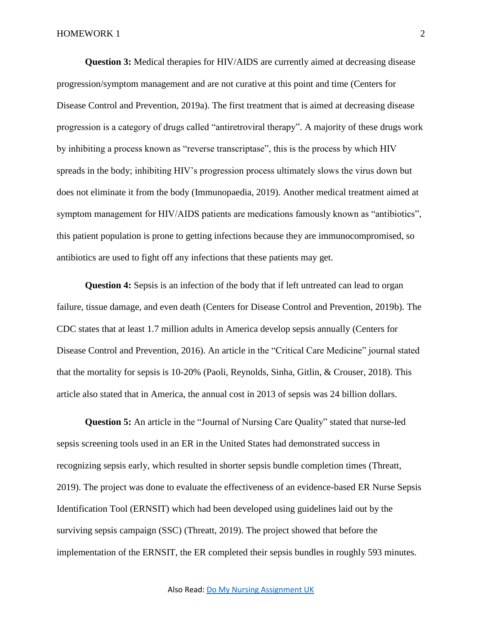**Question 3:** Medical therapies for HIV/AIDS are currently aimed at decreasing disease progression/symptom management and are not curative at this point and time (Centers for Disease Control and Prevention, 2019a). The first treatment that is aimed at decreasing disease progression is a category of drugs called "antiretroviral therapy". A majority of these drugs work by inhibiting a process known as "reverse transcriptase", this is the process by which HIV spreads in the body; inhibiting HIV's progression process ultimately slows the virus down but does not eliminate it from the body (Immunopaedia, 2019). Another medical treatment aimed at symptom management for HIV/AIDS patients are medications famously known as "antibiotics", this patient population is prone to getting infections because they are immunocompromised, so antibiotics are used to fight off any infections that these patients may get.

**Question 4:** Sepsis is an infection of the body that if left untreated can lead to organ failure, tissue damage, and even death (Centers for Disease Control and Prevention, 2019b). The CDC states that at least 1.7 million adults in America develop sepsis annually (Centers for Disease Control and Prevention, 2016). An article in the "Critical Care Medicine" journal stated that the mortality for sepsis is 10-20% (Paoli, Reynolds, Sinha, Gitlin, & Crouser, 2018). This article also stated that in America, the annual cost in 2013 of sepsis was 24 billion dollars.

**Question 5:** An article in the "Journal of Nursing Care Quality" stated that nurse-led sepsis screening tools used in an ER in the United States had demonstrated success in recognizing sepsis early, which resulted in shorter sepsis bundle completion times (Threatt, 2019). The project was done to evaluate the effectiveness of an evidence-based ER Nurse Sepsis Identification Tool (ERNSIT) which had been developed using guidelines laid out by the surviving sepsis campaign (SSC) (Threatt, 2019). The project showed that before the implementation of the ERNSIT, the ER completed their sepsis bundles in roughly 593 minutes.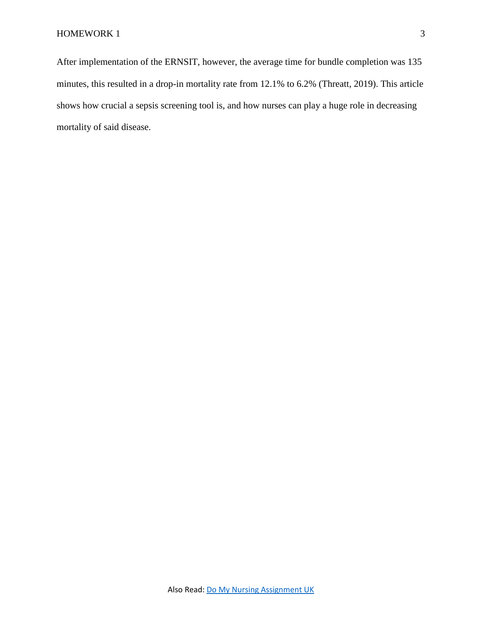After implementation of the ERNSIT, however, the average time for bundle completion was 135 minutes, this resulted in a drop-in mortality rate from 12.1% to 6.2% (Threatt, 2019). This article shows how crucial a sepsis screening tool is, and how nurses can play a huge role in decreasing mortality of said disease.